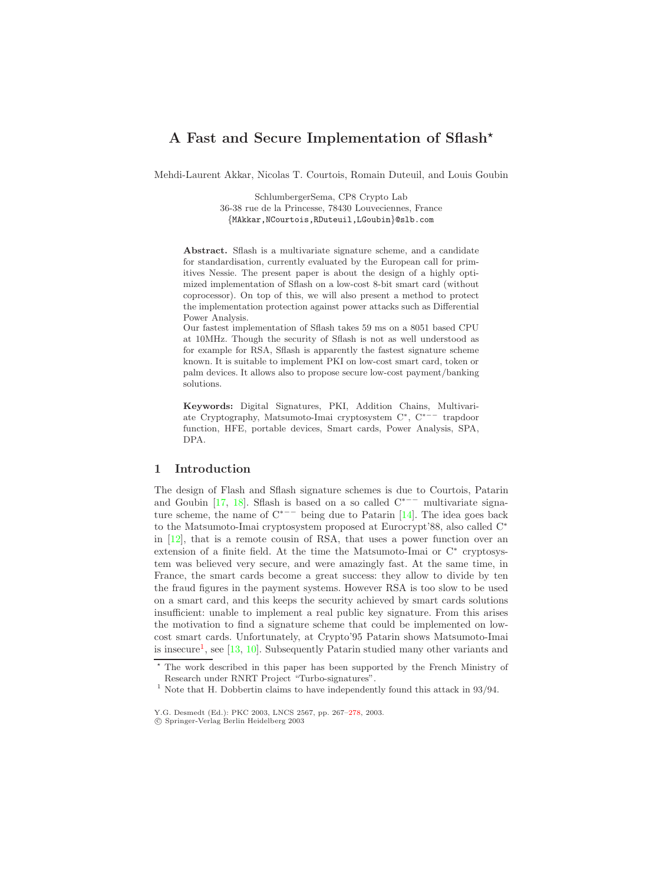# <span id="page-0-1"></span>**A Fast and Secure Implementation of Sflash**

Mehdi-Laurent Akkar, Nicolas T. Courtois, Romain Duteuil, and Louis Goubin

SchlumbergerSema, CP8 Crypto Lab 36-38 rue de la Princesse, 78430 Louveciennes, France {MAkkar,NCourtois,RDuteuil,LGoubin}@slb.com

**Abstract.** Sflash is a multivariate signature scheme, and a candidate for standardisation, currently evaluated by the European call for primitives Nessie. The present paper is about the design of a highly optimized implementation of Sflash on a low-cost 8-bit smart card (without coprocessor). On top of this, we will also present a method to protect the implementation protection against power attacks such as Differential Power Analysis.

Our fastest implementation of Sflash takes 59 ms on a 8051 based CPU at 10MHz. Though the security of Sflash is not as well understood as for example for RSA, Sflash is apparently the fastest signature scheme known. It is suitable to implement PKI on low-cost smart card, token or palm devices. It allows also to propose secure low-cost payment/banking solutions.

**Keywords:** Digital Signatures, PKI, Addition Chains, Multivariate Cryptography, Matsumoto-Imai cryptosystem C\*, C\*<sup>---</sup> trapdoor ate Cryptography, Matsumoto-Imai cryptosystem C∗, C∗−− trapdoor function, HFE, portable devices, Smart cards, Power Analysis, SPA, DPA.

## **1 Introduction**

<span id="page-0-0"></span>The design of Flash and Sflash signature schemes is due to Courtois, Patarin and Goubin [\[17,](#page-11-0) [18\]](#page-11-1). Sflash is based on a so called  $C^{*−-}$  multivariate signature scheme, the name of C∗−− being due to Patarin [\[14\]](#page-11-2). The idea goes back to the Matsumoto-Imai cryptosystem proposed at Eurocrypt'88, also called C<sup>∗</sup> in [\[12\]](#page-10-0), that is a remote cousin of RSA, that uses a power function over an extension of a finite field. At the time the Matsumoto-Imai or  $C^*$  cryptosystem was believed very secure, and were amazingly fast. At the same time, in France, the smart cards become a great success: they allow to divide by ten the fraud figures in the payment systems. However RSA is too slow to be used on a smart card, and this keeps the security achieved by smart cards solutions insufficient: unable to implement a real public key signature. From this arises the motivation to find a signature scheme that could be implemented on lowcost smart cards. Unfortunately, at Crypto'95 Patarin shows Matsumoto-Imai is insecure<sup>[1](#page-0-0)</sup>, see [\[13,](#page-10-1) [10\]](#page-10-2). Subsequently Patarin studied many other variants and

<sup>\*</sup> The work described in this paper has been supported by the French Ministry of Research under RNRT Project "Turbo-signatures".

<sup>&</sup>lt;sup>1</sup> Note that H. Dobbertin claims to have independently found this attack in 93/94.

Y.G. Desmedt (Ed.): PKC 2003, LNCS 2567, pp. 267[–278,](#page-11-3) 2003. c Springer-Verlag Berlin Heidelberg 2003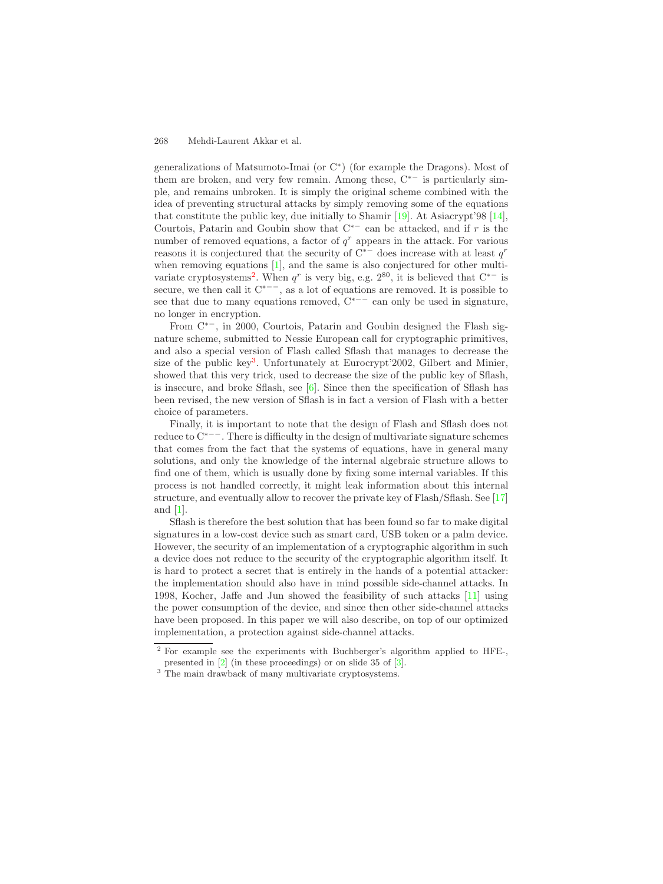<span id="page-1-2"></span>generalizations of Matsumoto-Imai (or C∗) (for example the Dragons). Most of them are broken, and very few remain. Among these,  $C^*$  is particularly simple, and remains unbroken. It is simply the original scheme combined with the idea of preventing structural attacks by simply removing some of the equations that constitute the public key, due initially to Shamir [\[19\]](#page-11-4). At Asiacrypt'98 [\[14\]](#page-11-2), Courtois, Patarin and Goubin show that  $C^{*-}$  can be attacked, and if r is the number of removed equations, a factor of  $q<sup>r</sup>$  appears in the attack. For various reasons it is conjectured that the security of C∗− does increase with at least q*<sup>r</sup>* when removing equations [\[1\]](#page-10-3), and the same is also conjectured for other multi-variate cryptosystems<sup>[2](#page-1-0)</sup>. When  $q^r$  is very big, e.g.  $2^{80}$ , it is believed that  $C^{*-}$  is secure, we then call it  $C^{*--}$ , as a lot of equations are removed. It is possible to see that due to many equations removed,  $C^{*−-}$  can only be used in signature, no longer in encryption.

From C∗−, in 2000, Courtois, Patarin and Goubin designed the Flash signature scheme, submitted to Nessie European call for cryptographic primitives, and also a special version of Flash called Sflash that manages to decrease the size of the public key<sup>[3](#page-1-1)</sup>. Unfortunately at Eurocrypt'2002, Gilbert and Minier, showed that this very trick, used to decrease the size of the public key of Sflash, is insecure, and broke Sflash, see  $[6]$ . Since then the specification of Sflash has been revised, the new version of Sflash is in fact a version of Flash with a better choice of parameters.

<span id="page-1-1"></span><span id="page-1-0"></span>Finally, it is important to note that the design of Flash and Sflash does not reduce to C∗−−. There is difficulty in the design of multivariate signature schemes that comes from the fact that the systems of equations, have in general many solutions, and only the knowledge of the internal algebraic structure allows to find one of them, which is usually done by fixing some internal variables. If this process is not handled correctly, it might leak information about this internal structure, and eventually allow to recover the private key of Flash/Sflash. See [\[17\]](#page-11-0) and [\[1\]](#page-10-3).

Sflash is therefore the best solution that has been found so far to make digital signatures in a low-cost device such as smart card, USB token or a palm device. However, the security of an implementation of a cryptographic algorithm in such a device does not reduce to the security of the cryptographic algorithm itself. It is hard to protect a secret that is entirely in the hands of a potential attacker: the implementation should also have in mind possible side-channel attacks. In 1998, Kocher, Jaffe and Jun showed the feasibility of such attacks [\[11\]](#page-10-5) using the power consumption of the device, and since then other side-channel attacks have been proposed. In this paper we will also describe, on top of our optimized implementation, a protection against side-channel attacks.

<sup>2</sup> For example see the experiments with Buchberger's algorithm applied to HFE-, presented in [\[2\]](#page-10-6) (in these proceedings) or on slide 35 of [\[3\]](#page-10-7).

<sup>&</sup>lt;sup>3</sup> The main drawback of many multivariate cryptosystems.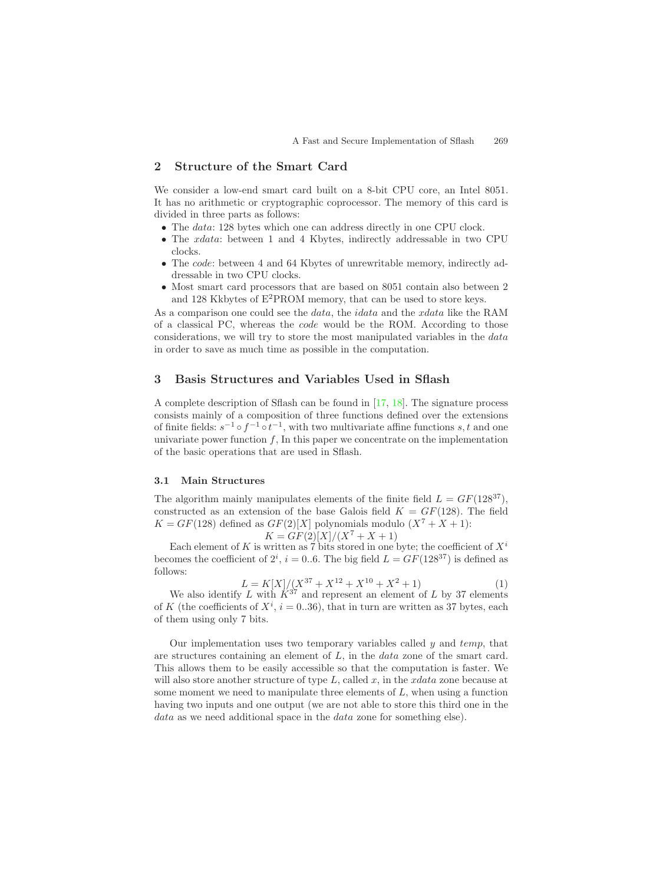## <span id="page-2-1"></span>**2 Structure of the Smart Card**

We consider a low-end smart card built on a 8-bit CPU core, an Intel 8051. It has no arithmetic or cryptographic coprocessor. The memory of this card is divided in three parts as follows:

- The *data*: 128 bytes which one can address directly in one CPU clock.
- The *xdata*: between 1 and 4 Kbytes, indirectly addressable in two CPU clocks.
- The code: between 4 and 64 Kbytes of unrewritable memory, indirectly addressable in two CPU clocks.
- Most smart card processors that are based on 8051 contain also between 2 and 128 Kkbytes of  $E^2$ PROM memory, that can be used to store keys.

As a comparison one could see the *data*, the *idata* and the *xdata* like the RAM of a classical PC, whereas the code would be the ROM. According to those considerations, we will try to store the most manipulated variables in the data in order to save as much time as possible in the computation.

## **3 Basis Structures and Variables Used in Sflash**

A complete description of Sflash can be found in [\[17,](#page-11-0) [18\]](#page-11-1). The signature process consists mainly of a composition of three functions defined over the extensions of finite fields:  $s^{-1} \circ f^{-1} \circ t^{-1}$ , with two multivariate affine functions s, t and one univariate power function  $f$ , In this paper we concentrate on the implementation of the basic operations that are used in Sflash.

#### **3.1 Main Structures**

<span id="page-2-0"></span>The algorithm mainly manipulates elements of the finite field  $L = GF(128^{37})$ , constructed as an extension of the base Galois field  $K = GF(128)$ . The field  $K = GF(128)$  defined as  $GF(2)[X]$  polynomials modulo  $(X^7 + X + 1)$ :

$$
K = GF(2)[X]/(X^7 + X + 1)
$$

Each element of K is written as  $\widetilde{7}$  bits stored in one byte; the coefficient of  $X^i$ becomes the coefficient of  $2^i$ ,  $i = 0..6$ . The big field  $L = GF(128^{37})$  is defined as follows:

$$
L = K[X]/(X^{37} + X^{12} + X^{10} + X^2 + 1)
$$
\n(1)

We also identify L with  $\ddot{K}^{37}$  and represent an element of L by 37 elements of K (the coefficients of  $X^i$ ,  $i = 0..36$ ), that in turn are written as 37 bytes, each of them using only 7 bits.

Our implementation uses two temporary variables called  $y$  and  $temp$ , that are structures containing an element of L, in the data zone of the smart card. This allows them to be easily accessible so that the computation is faster. We will also store another structure of type  $L$ , called  $x$ , in the  $xdata$  zone because at some moment we need to manipulate three elements of  $L$ , when using a function having two inputs and one output (we are not able to store this third one in the data as we need additional space in the data zone for something else).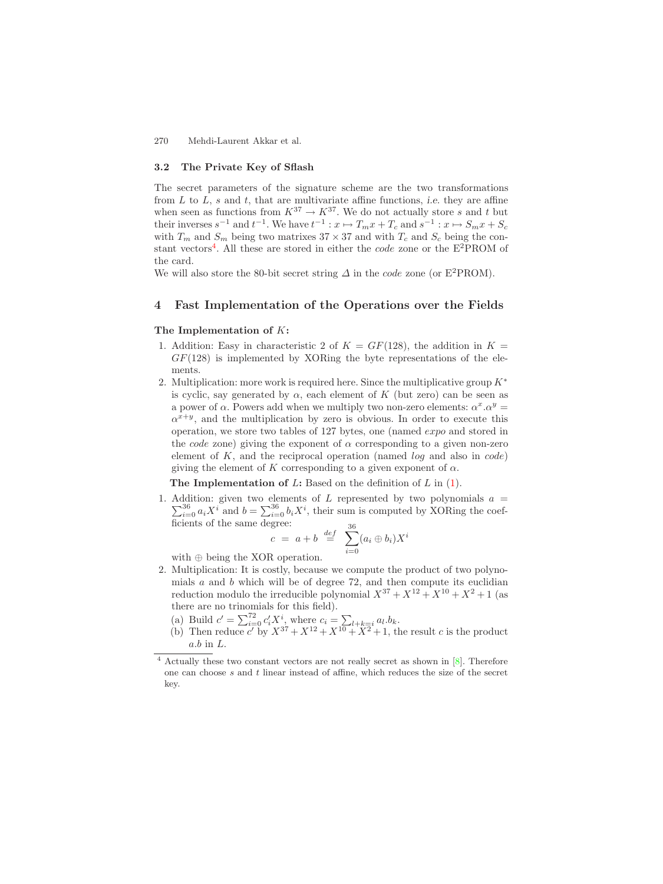#### <span id="page-3-1"></span>**3.2 The Private Key of Sflash**

The secret parameters of the signature scheme are the two transformations from  $L$  to  $L$ ,  $s$  and  $t$ , that are multivariate affine functions, *i.e.* they are affine when seen as functions from  $K^{37} \to K^{37}$ . We do not actually store s and t but their inverses  $s^{-1}$  and  $t^{-1}$ . We have  $t^{-1}: x \mapsto T_m x + T_c$  and  $s^{-1}: x \mapsto S_m x + S_c$ with  $T_m$  and  $S_m$  being two matrixes  $37 \times 37$  and with  $T_c$  and  $S_c$  being the con-stant vectors<sup>[4](#page-3-0)</sup>. All these are stored in either the *code* zone or the  $E^2$ PROM of the card.

We will also store the 80-bit secret string  $\Delta$  in the *code* zone (or E<sup>2</sup>PROM).

## **4 Fast Implementation of the Operations over the Fields**

### **The Implementation of** K**:**

- 1. Addition: Easy in characteristic 2 of  $K = GF(128)$ , the addition in  $K =$  $GF(128)$  is implemented by XORing the byte representations of the elements.
- 2. Multiplication: more work is required here. Since the multiplicative group  $K^*$ is cyclic, say generated by  $\alpha$ , each element of K (but zero) can be seen as a power of  $\alpha$ . Powers add when we multiply two non-zero elements:  $\alpha^x \cdot \alpha^y =$  $\alpha^{x+y}$ , and the multiplication by zero is obvious. In order to execute this operation, we store two tables of 127 bytes, one (named expo and stored in the *code* zone) giving the exponent of  $\alpha$  corresponding to a given non-zero element of  $K$ , and the reciprocal operation (named  $log$  and also in  $code)$ ) giving the element of K corresponding to a given exponent of  $\alpha$ .

**The Implementation of L:** Based on the definition of L in  $(1)$ .

<span id="page-3-0"></span>1. Addition: given two elements of  $L$  represented by two polynomials  $a =$ Addition: given two elements of L represented by two polynomials  $a = \sum_{i=0}^{36} a_i X^i$  and  $b = \sum_{i=0}^{36} b_i X^i$ , their sum is computed by XORing the coef- $\sum_{i=0}^{36} a_i X^i$  and  $b = \sum_{i=0}^{36} b_i X^i$ , their sum is computed by XORing the coef- $\frac{1}{\pi}$  ficients of the same degree: 36

$$
c = a + b \stackrel{def}{=} \sum_{i=0}^{36} (a_i \oplus b_i) X^i
$$

with ⊕ being the XOR operation.

2. Multiplication: It is costly, because we compute the product of two polynomials  $a$  and  $b$  which will be of degree 72, and then compute its euclidian reduction modulo the irreducible polynomial  $X^{37} + X^{12} + X^{10} + X^2 + 1$  (as there are no trinomials for this field).

(a) Build  $c' = \sum_{i=0}^{72} c'_i X^i$ , where  $c_i = \sum_{i=1}^{72} a_i b_k$ .

(b) Then reduce c' by  $X^{37} + X^{12} + X^{10} + X^2 + 1$ , the result c is the product  $a.b$  in  $L$ .

 $4$  Actually these two constant vectors are not really secret as shown in  $[8]$ . Therefore one can choose s and t linear instead of affine, which reduces the size of the secret key.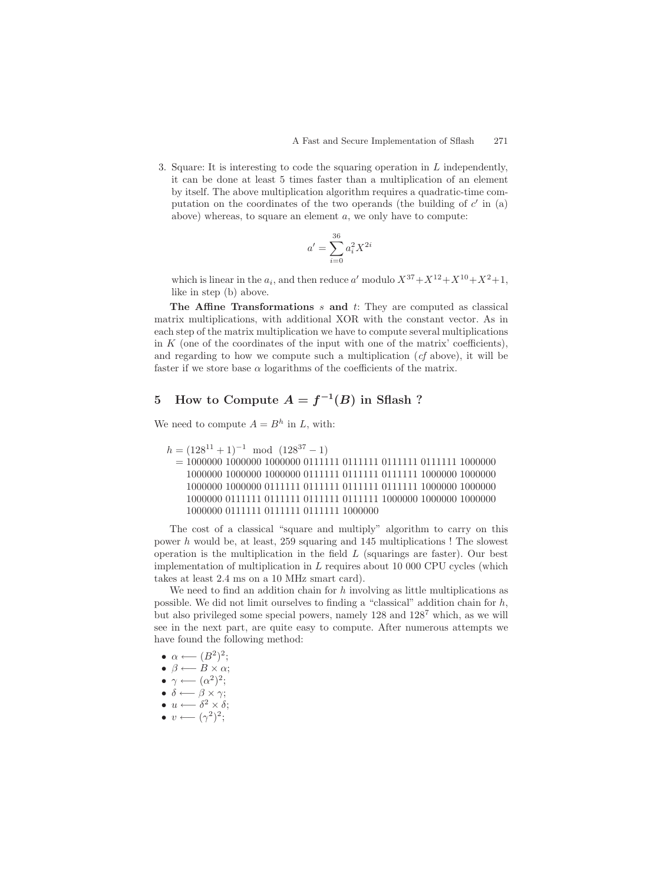3. Square: It is interesting to code the squaring operation in L independently, it can be done at least 5 times faster than a multiplication of an element by itself. The above multiplication algorithm requires a quadratic-time computation on the coordinates of the two operands (the building of  $c'$  in (a) above) whereas, to square an element a, we only have to compute:

$$
a' = \sum_{i=0}^{36} a_i^2 X^{2i}
$$

which is linear in the  $a_i$ , and then reduce a' modulo  $X^{37}+X^{12}+X^{10}+X^2+1$ , like in step (b) above.

**The Affine Transformations** s **and** t: They are computed as classical matrix multiplications, with additional XOR with the constant vector. As in each step of the matrix multiplication we have to compute several multiplications in  $K$  (one of the coordinates of the input with one of the matrix' coefficients), and regarding to how we compute such a multiplication (*cf* above), it will be faster if we store base  $\alpha$  logarithms of the coefficients of the matrix.

# **5** How to Compute  $A = f^{-1}(B)$  in Sflash ?

We need to compute  $A = B^h$  in L, with:

```
h = (128^{11} + 1)^{-1} \mod (128^{37} - 1)
```
= 1000000 1000000 1000000 0111111 0111111 0111111 0111111 1000000 1000000 1000000 1000000 0111111 0111111 0111111 1000000 1000000 1000000 1000000 0111111 0111111 0111111 0111111 1000000 1000000 1000000 0111111 0111111 0111111 0111111 1000000 1000000 1000000 1000000 0111111 0111111 0111111 1000000

The cost of a classical "square and multiply" algorithm to carry on this power  $h$  would be, at least, 259 squaring and 145 multiplications ! The slowest operation is the multiplication in the field  $L$  (squarings are faster). Our best implementation of multiplication in  $L$  requires about 10 000 CPU cycles (which takes at least 2.4 ms on a 10 MHz smart card).

We need to find an addition chain for  $h$  involving as little multiplications as possible. We did not limit ourselves to finding a "classical" addition chain for  $h$ , but also privileged some special powers, namely  $128$  and  $128<sup>7</sup>$  which, as we will see in the next part, are quite easy to compute. After numerous attempts we have found the following method:

- $\alpha \longleftarrow (B^2)^2;$
- $\beta \longleftarrow B \times \alpha;$
- $\gamma \longleftarrow (\alpha^2)^2;$
- $\delta \longleftarrow \beta \times \gamma;$
- $u \longleftarrow \delta^2 \times \delta;$
- $v \longleftarrow (\gamma^2)^2;$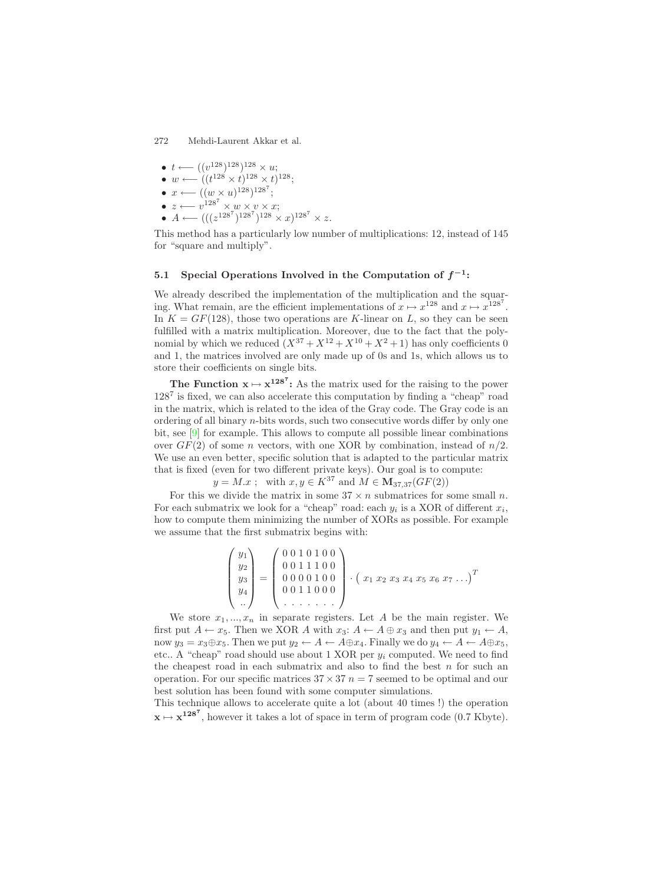<span id="page-5-0"></span>\n- $$
t \leftarrow ((v^{128})^{128})^{128} \times u;
$$
\n- $w \leftarrow ((t^{128} \times t)^{128} \times t)^{128};$
\n- $x \leftarrow ((w \times u)^{128})^{128};$
\n- $z \leftarrow v^{128} \times w \times v \times x;$
\n- $w \leftarrow (u^{128} \times 128) \times 128$
\n

•  $A \longleftarrow (((z^{128^7})^{128^7})^{128} \times x)^{128^7} \times z.$ 

This method has a particularly low number of multiplications: 12, instead of 145 for "square and multiply".

## **5.1** Special Operations Involved in the Computation of  $f^{-1}$ **:**

We already described the implementation of the multiplication and the squaring. What remain, are the efficient implementations of  $x \mapsto x^{128}$  and  $x \mapsto x^{128}$ . In  $K = GF(128)$ , those two operations are K-linear on L, so they can be seen fulfilled with a matrix multiplication. Moreover, due to the fact that the polynomial by which we reduced  $(X^{37} + X^{12} + X^{10} + X^2 + 1)$  has only coefficients 0 and 1, the matrices involved are only made up of 0s and 1s, which allows us to store their coefficients on single bits.

**The Function**  $x \mapsto x^{128^7}$ **:** As the matrix used for the raising to the power  $128<sup>7</sup>$  is fixed, we can also accelerate this computation by finding a "cheap" road in the matrix, which is related to the idea of the Gray code. The Gray code is an ordering of all binary  $n$ -bits words, such two consecutive words differ by only one bit, see [\[9\]](#page-10-9) for example. This allows to compute all possible linear combinations over  $GF(2)$  of some n vectors, with one XOR by combination, instead of  $n/2$ . We use an even better, specific solution that is adapted to the particular matrix that is fixed (even for two different private keys). Our goal is to compute:

 $y = M.x$ ; with  $x, y \in K^{37}$  and  $M \in M_{37,37}(GF(2))$ 

For this we divide the matrix in some  $37 \times n$  submatrices for some small n. For each submatrix we look for a "cheap" road: each  $y_i$  is a XOR of different  $x_i$ , how to compute them minimizing the number of XORs as possible. For example we assume that the first submatrix begins with:

$$
\begin{pmatrix} y_1 \\ y_2 \\ y_3 \\ y_4 \\ \vdots \end{pmatrix} = \begin{pmatrix} 0 & 0 & 1 & 0 & 1 & 0 & 0 \\ 0 & 0 & 1 & 1 & 1 & 0 & 0 \\ 0 & 0 & 0 & 0 & 1 & 0 & 0 \\ 0 & 0 & 1 & 1 & 0 & 0 & 0 \\ \vdots & \vdots & \vdots & \ddots & \vdots & \vdots & \vdots \\ 0 & 0 & 1 & 1 & 0 & 0 & 0 \\ 0 & \vdots & \vdots & \vdots & \ddots & \vdots & \vdots \\ 0 & 0 & 0 & 1 & 1 & 0 & 0 & 0 \\ 0 & 0 & 0 & 0 & 0 & 0 & 0 & 0 \\ \vdots & \vdots & \vdots & \vdots & \ddots & \vdots & \vdots & \vdots \\ 0 & 0 & 0 & 0 & 0 & 0 & 0 & 0 \\ 0 & 0 & 0 & 0 & 0 & 0 & 0 & 0 \\ 0 & 0 & 0 & 0 & 0 & 0 & 0 & 0 \\ 0 & 0 & 0 & 0 & 0 & 0 & 0 & 0 \\ 0 & 0 & 0 & 0 & 0 & 0 & 0 & 0 \\ 0 & 0 & 0 & 0 & 0 & 0 & 0 & 0 \\ 0 & 0 & 0 & 0 & 0 & 0 & 0 & 0 \\ 0 & 0 & 0 & 0 & 0 & 0 & 0 & 0 \\ 0 & 0 & 0 & 0 & 0 & 0 & 0 & 0 \\ 0 & 0 & 0 & 0 & 0 & 0 & 0 & 0 \\ 0 & 0 & 0 & 0 & 0 & 0 & 0 & 0 \\ 0 & 0 & 0 & 0 & 0 & 0 & 0 & 0 \\ 0 & 0 & 0 & 0 & 0 & 0 & 0 & 0 \\ 0 & 0 & 0 & 0 & 0 & 0 & 0 & 0 \\ 0 & 0 & 0 & 0 & 0 & 0 & 0 & 0 \\ 0 & 0 & 0 & 0 & 0 & 0 & 0 & 0 \\ 0 & 0 & 0 & 0 & 0 & 0 & 0 & 0 \\ 0 & 0 & 0 & 0 & 0 & 0 & 0 & 0 \\ 0 & 0 & 0 & 0 & 0 & 0 & 0 & 0 \\ 0 & 0 & 0 & 0 & 0 & 0 & 0 & 0 \\ 0
$$

We store  $x_1, ..., x_n$  in separate registers. Let A be the main register. We first put  $A \leftarrow x_5$ . Then we XOR A with  $x_3$ :  $A \leftarrow A \oplus x_3$  and then put  $y_1 \leftarrow A$ , now  $y_3 = x_3 \oplus x_5$ . Then we put  $y_2 \leftarrow A \leftarrow A \oplus x_4$ . Finally we do  $y_4 \leftarrow A \leftarrow A \oplus x_5$ , etc.. A "cheap" road should use about  $1 \text{ XOR per } y_i$  computed. We need to find the cheapest road in each submatrix and also to find the best  $n$  for such an operation. For our specific matrices  $37 \times 37$  n = 7 seemed to be optimal and our best solution has been found with some computer simulations.

This technique allows to accelerate quite a lot (about 40 times !) the operation  $\mathbf{x} \mapsto \mathbf{x}^{128^7}$ , however it takes a lot of space in term of program code (0.7 Kbyte).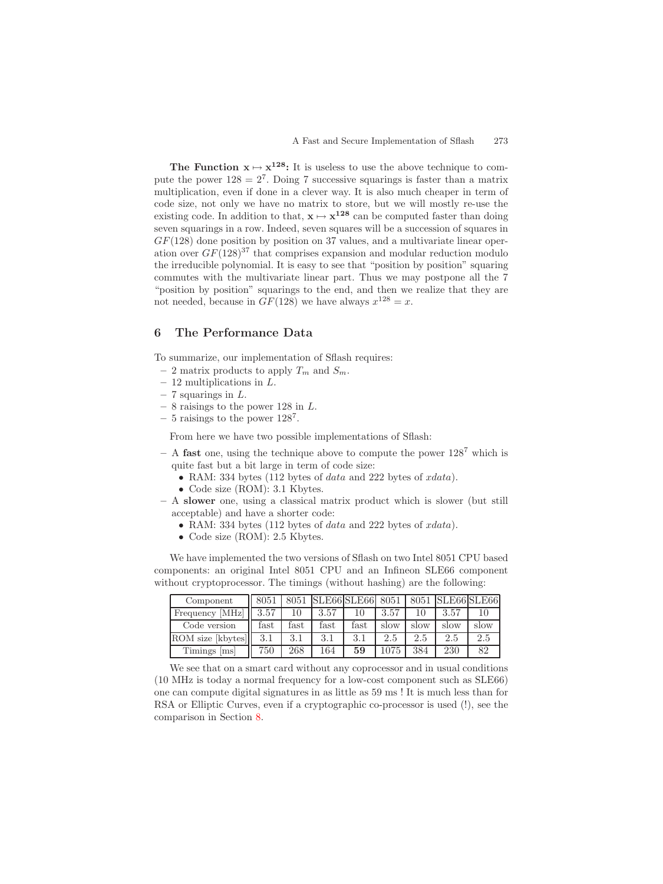**The Function**  $x \mapsto x^{128}$ **:** It is useless to use the above technique to compute the power  $128 = 2^7$ . Doing 7 successive squarings is faster than a matrix multiplication, even if done in a clever way. It is also much cheaper in term of code size, not only we have no matrix to store, but we will mostly re-use the existing code. In addition to that,  $\mathbf{x} \mapsto \mathbf{x}^{128}$  can be computed faster than doing seven squarings in a row. Indeed, seven squares will be a succession of squares in  $GF(128)$  done position by position on 37 values, and a multivariate linear operation over  $GF(128)^{37}$  that comprises expansion and modular reduction modulo the irreducible polynomial. It is easy to see that "position by position" squaring commutes with the multivariate linear part. Thus we may postpone all the 7 "position by position" squarings to the end, and then we realize that they are not needed, because in  $GF(128)$  we have always  $x^{128} = x$ .

## <span id="page-6-0"></span>**6 The Performance Data**

To summarize, our implementation of Sflash requires:

- $-2$  matrix products to apply  $T_m$  and  $S_m$ .
- **–** 12 multiplications in L.
- **–** 7 squarings in L.
- **–** 8 raisings to the power 128 in L.
- **–** 5 raisings to the power 128<sup>7</sup>.

From here we have two possible implementations of Sflash:

- **–** A **fast** one, using the technique above to compute the power 128<sup>7</sup> which is quite fast but a bit large in term of code size:
	- RAM: 334 bytes (112 bytes of data and 222 bytes of  $xdata$ ).
	- Code size (ROM): 3.1 Kbytes.
- **–** A **slower** one, using a classical matrix product which is slower (but still acceptable) and have a shorter code:
	- RAM: 334 bytes (112 bytes of data and 222 bytes of  $xdata$ ).
	- Code size (ROM): 2.5 Kbytes.

We have implemented the two versions of Sflash on two Intel 8051 CPU based components: an original Intel 8051 CPU and an Infineon SLE66 component without cryptoprocessor. The timings (without hashing) are the following:

| Component         | 8051          |      | 8051 SLE66 SLE66 8051 |      |      |      | 8051 SLE66 SLE66 |      |
|-------------------|---------------|------|-----------------------|------|------|------|------------------|------|
| Frequency [MHz]   | 3.57          |      | 3.57                  |      | 3.57 |      | 3.57             |      |
| Code version      | $_{\rm fast}$ | fast | $\text{fast}$         | fast | slow | slow | slow             | slow |
| ROM size [kbytes] | 3.1           | 3.1  | 3.1                   | 3.1  |      |      | 2.5              | 2.5  |
| Timings [ms]      | 750           | 268  | 164                   | 59   | 1075 | 384  | 230              | 82   |

We see that on a smart card without any coprocessor and in usual conditions (10 MHz is today a normal frequency for a low-cost component such as SLE66) one can compute digital signatures in as little as 59 ms ! It is much less than for RSA or Elliptic Curves, even if a cryptographic co-processor is used (!), see the comparison in Section [8.](#page-9-0)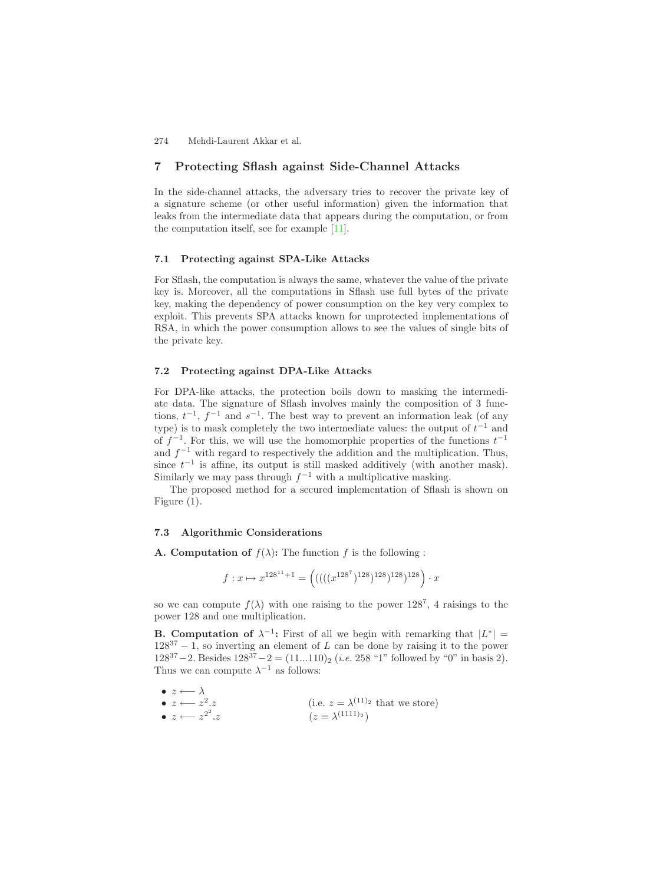## <span id="page-7-0"></span>**7 Protecting Sflash against Side-Channel Attacks**

In the side-channel attacks, the adversary tries to recover the private key of a signature scheme (or other useful information) given the information that leaks from the intermediate data that appears during the computation, or from the computation itself, see for example [\[11\]](#page-10-5).

#### **7.1 Protecting against SPA-Like Attacks**

For Sflash, the computation is always the same, whatever the value of the private key is. Moreover, all the computations in Sflash use full bytes of the private key, making the dependency of power consumption on the key very complex to exploit. This prevents SPA attacks known for unprotected implementations of RSA, in which the power consumption allows to see the values of single bits of the private key.

#### **7.2 Protecting against DPA-Like Attacks**

For DPA-like attacks, the protection boils down to masking the intermediate data. The signature of Sflash involves mainly the composition of 3 functions,  $t^{-1}$ ,  $f^{-1}$  and  $s^{-1}$ . The best way to prevent an information leak (of any type) is to mask completely the two intermediate values: the output of  $t^{-1}$  and of  $f^{-1}$ . For this, we will use the homomorphic properties of the functions  $t^{-1}$ and  $f^{-1}$  with regard to respectively the addition and the multiplication. Thus, since  $t^{-1}$  is affine, its output is still masked additively (with another mask). Similarly we may pass through  $f^{-1}$  with a multiplicative masking.

The proposed method for a secured implementation of Sflash is shown on Figure (1).

#### **7.3 Algorithmic Considerations**

**A. Computation of**  $f(\lambda)$ **: The function f is the following :** 

$$
f: x \mapsto x^{128^{11} + 1} = \left( \left( \left( \left( \left( \left( x^{128^7} \right)^{128} \right)^{128} \right)^{128} \right)^{128} \right) \cdot x \right)
$$

so we can compute  $f(\lambda)$  with one raising to the power 128<sup>7</sup>, 4 raisings to the power 128 and one multiplication.

**B. Computation of**  $\lambda^{-1}$ **:** First of all we begin with remarking that  $|L^*|$  =  $128^{37} - 1$ , so inverting an element of L can be done by raising it to the power  $128^{37} - 2$ . Besides  $128^{37} - 2 = (11...110)_2$  (*i.e.* 258 "1" followed by "0" in basis 2). Thus we can compute  $\lambda^{-1}$  as follows:

\n- \n
$$
z \leftarrow \lambda
$$
\n
\n- \n $z \leftarrow z^2 \cdot z$ \n
\n- \n $z \leftarrow z^2 \cdot z$ \n
\n- \n $(i.e. \ z = \lambda^{(11)2} \text{ that we store})$ \n
\n- \n $z \leftarrow z^{2^2} \cdot z$ \n
\n- \n $(z = \lambda^{(1111)2})$ \n
\n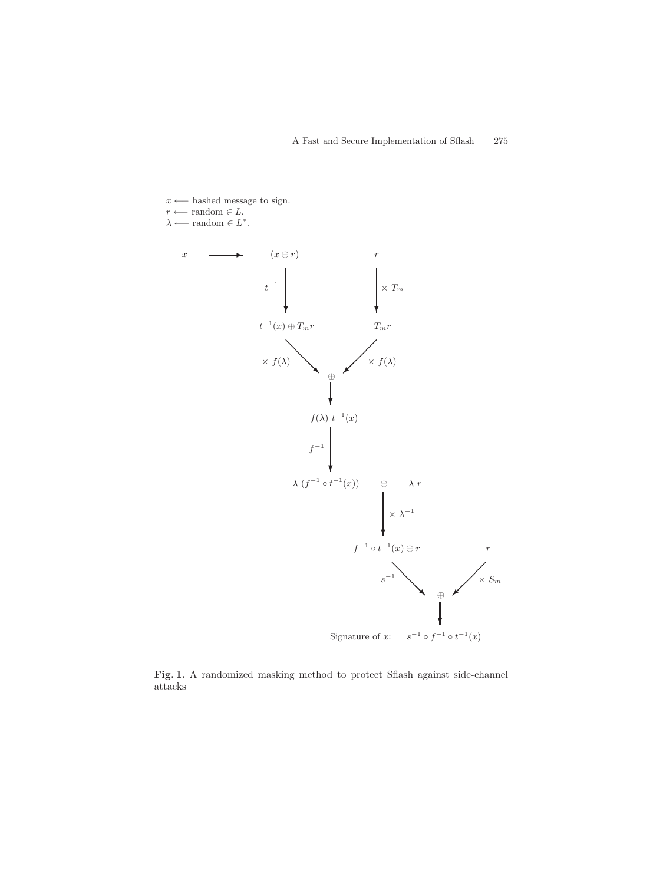

**Fig. 1.** A randomized masking method to protect Sflash against side-channel attacks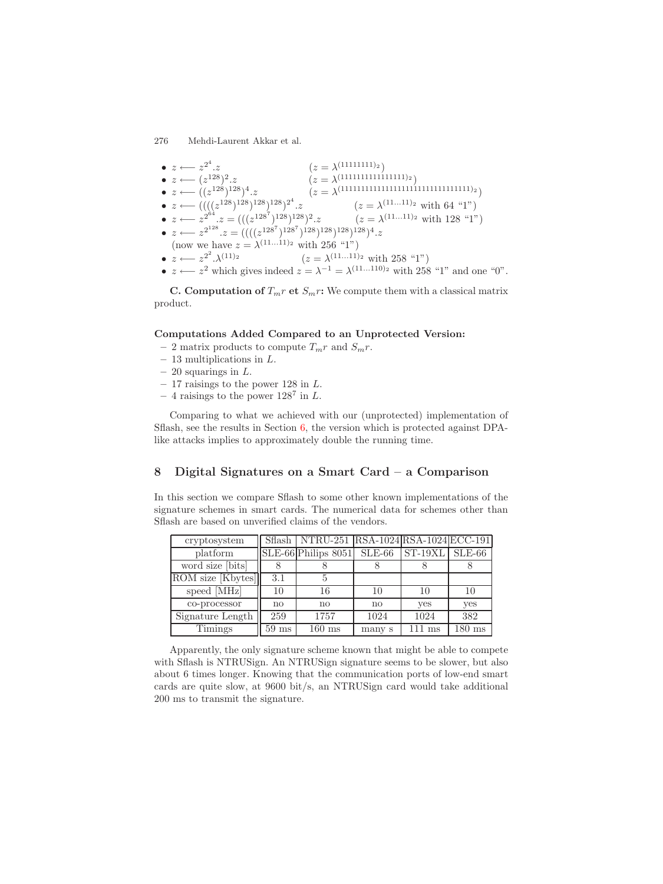| $\bullet \; z \longleftarrow z^{2^4}.z$                                                | $(z = \lambda^{(11111111)_2})$                                                                                                                                                                                                                                                                                            |
|----------------------------------------------------------------------------------------|---------------------------------------------------------------------------------------------------------------------------------------------------------------------------------------------------------------------------------------------------------------------------------------------------------------------------|
| • $z \longleftarrow (z^{128})^2.z$                                                     | $(z = \lambda^{(11111111111111112)})$                                                                                                                                                                                                                                                                                     |
| • $z \longleftarrow ((z^{128})^{128})^4.z$                                             | $(z = \lambda^{(11111111111111111111111111111112)}$                                                                                                                                                                                                                                                                       |
| • $z \longleftarrow ((( (z^{128})^{128})^{128})^{128})^{2^4}.z$                        | $(z = \lambda^{(1111)_2}$ with 64 "1")                                                                                                                                                                                                                                                                                    |
|                                                                                        | • $z \leftarrow z^{2^{64}}.z = (((z^{128^7})^{128})^{128})^2.z$ $(z = \lambda^{(1111)_2} \text{ with } 128 \text{ "1"})$                                                                                                                                                                                                  |
| • $z \leftarrow z^{2^{128}}.z = (((z^{128^7})^{128})^{128})^{128})^{128})^{128})^4. z$ |                                                                                                                                                                                                                                                                                                                           |
| (now we have $z = \lambda^{(1111)_2}$ with 256 "1")                                    |                                                                                                                                                                                                                                                                                                                           |
| $\bullet \; z \longleftarrow z^{2^2} \cdot \lambda^{(11)_2}$                           | $(z = \lambda^{(1111)_2}$ with 258 "1")                                                                                                                                                                                                                                                                                   |
|                                                                                        | 2 1 1 $\cdot$ 1 1 $\cdot$ 1 1 $\cdot$ 1 1 $\cdot$ 1 1 $\cdot$ 1 1 $\cdot$ 1 $\cdot$ 1 0 $\cdot$ 4 $\cdot$ 1 0 $\cdot$ 1 0 $\cdot$ 1 0 $\cdot$ 1 0 $\cdot$ 1 0 $\cdot$ 1 0 $\cdot$ 1 0 $\cdot$ 1 0 $\cdot$ 1 0 $\cdot$ 1 0 $\cdot$ 1 0 $\cdot$ 1 0 $\cdot$ 1 0 $\cdot$ 1 0 $\cdot$ 1 0 $\cdot$ 1 0 $\cdot$<br>$\iota\iota$ |

•  $z \longleftarrow z^2$  which gives indeed  $z = \lambda^{-1} = \lambda^{(11...110)_2}$  with 258 "1" and one "0".

**C. Computation of**  $T_m r$  **et**  $S_m r$ : We compute them with a classical matrix product.

### **Computations Added Compared to an Unprotected Version:**

- $-2$  matrix products to compute  $T_m r$  and  $S_m r$ .
- **–** 13 multiplications in L.
- **–** 20 squarings in L.
- **–** 17 raisings to the power 128 in L.
- **–** 4 raisings to the power 128<sup>7</sup> in L.

<span id="page-9-0"></span>Comparing to what we achieved with our (unprotected) implementation of Sflash, see the results in Section [6,](#page-6-0) the version which is protected against DPAlike attacks implies to approximately double the running time.

## **8 Digital Signatures on a Smart Card – a Comparison**

In this section we compare Sflash to some other known implementations of the signature schemes in smart cards. The numerical data for schemes other than Sflash are based on unverified claims of the vendors.

| cryptosystem             |                 | Sflash NTRU-251 RSA-1024 RSA-1024 ECC-191 |              |                      |                  |
|--------------------------|-----------------|-------------------------------------------|--------------|----------------------|------------------|
| platform                 |                 | SLE-66 Philips 8051 SLE-66 ST-19XL SLE-66 |              |                      |                  |
| word size [bits]         |                 |                                           |              |                      |                  |
| ROM size [Kbytes]        | 3.1             |                                           |              |                      |                  |
| speed $[M\overline{Hz}]$ | 10              | 16                                        | 10           | 10                   | 10               |
| co-processor             | no              | $\mathbf{no}$                             | $\mathbf{n}$ | yes                  | yes              |
| Signature Length         | 259             | 1757                                      | 1024         | 1024                 | 382              |
| <b>Timings</b>           | $59 \text{ ms}$ | $160$ ms                                  | many s       | $111 \; \mathrm{ms}$ | $180 \text{ ms}$ |

Apparently, the only signature scheme known that might be able to compete with Sflash is NTRUSign. An NTRUSign signature seems to be slower, but also about 6 times longer. Knowing that the communication ports of low-end smart cards are quite slow, at 9600 bit/s, an NTRUSign card would take additional 200 ms to transmit the signature.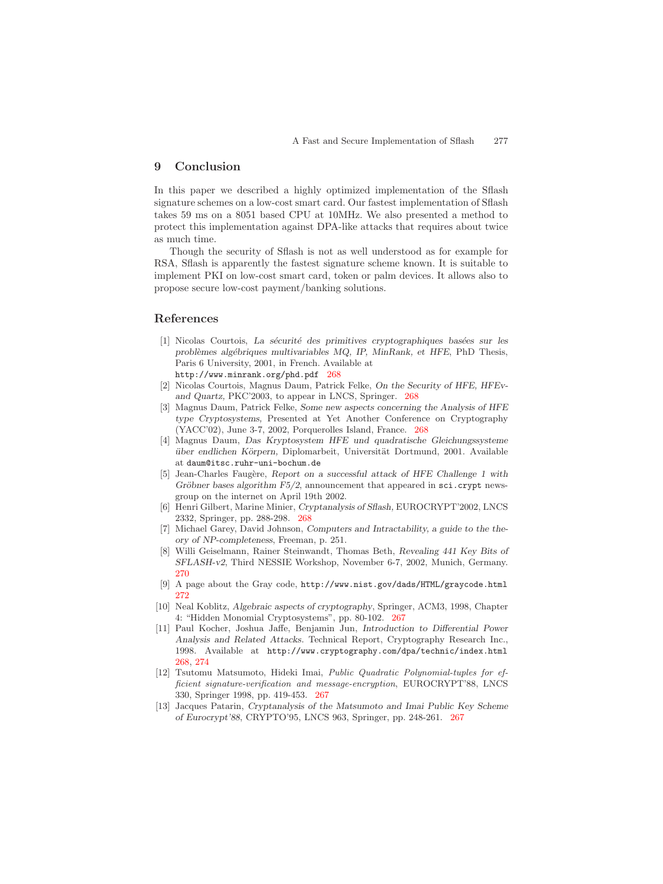## **9 Conclusion**

In this paper we described a highly optimized implementation of the Sflash signature schemes on a low-cost smart card. Our fastest implementation of Sflash takes 59 ms on a 8051 based CPU at 10MHz. We also presented a method to protect this implementation against DPA-like attacks that requires about twice as much time.

Though the security of Sflash is not as well understood as for example for RSA, Sflash is apparently the fastest signature scheme known. It is suitable to implement PKI on low-cost smart card, token or palm devices. It allows also to propose secure low-cost payment/banking solutions.

## <span id="page-10-6"></span><span id="page-10-3"></span>**References**

- <span id="page-10-7"></span>[1] Nicolas Courtois, *La s´ecurit´e des primitives cryptographiques bas´ees sur les probl`emes alg´ebriques multivariables MQ, IP, MinRank, et HFE*, PhD Thesis, Paris 6 University, 2001, in French. Available at http://www.minrank.org/phd.pdf [268](#page-1-2)
- [2] Nicolas Courtois, Magnus Daum, Patrick Felke, *On the Security of HFE, HFEvand Quartz,* PKC'2003, to appear in LNCS, Springer. [268](#page-1-2)
- [3] Magnus Daum, Patrick Felke, *Some new aspects concerning the Analysis of HFE type Cryptosystems,* Presented at Yet Another Conference on Cryptography (YACC'02), June 3-7, 2002, Porquerolles Island, France. [268](#page-1-2)
- [4] Magnus Daum, *Das Kryptosystem HFE und quadratische Gleichungssysteme uber endlichen K¨ ¨ orpern,* Diplomarbeit, Universit¨at Dortmund, 2001. Available at daum@itsc.ruhr-uni-bochum.de
- <span id="page-10-4"></span>[5] Jean-Charles Faugère, *Report on a successful attack of HFE Challenge 1 with Gröbner bases algorithm F5/2*, announcement that appeared in sci.crypt newsgroup on the internet on April 19th 2002.
- <span id="page-10-8"></span>[6] Henri Gilbert, Marine Minier, *Cryptanalysis of Sflash,* EUROCRYPT'2002, LNCS 2332, Springer, pp. 288-298. [268](#page-1-2)
- <span id="page-10-9"></span>[7] Michael Garey, David Johnson, *Computers and Intractability, a guide to the theory of NP-completeness*, Freeman, p. 251.
- <span id="page-10-2"></span>[8] Willi Geiselmann, Rainer Steinwandt, Thomas Beth, *Revealing 441 Key Bits of SFLASH-v2*, Third NESSIE Workshop, November 6-7, 2002, Munich, Germany. [270](#page-3-1)
- [9] A page about the Gray code, http://www.nist.gov/dads/HTML/graycode.html [272](#page-5-0)
- <span id="page-10-5"></span>[10] Neal Koblitz, *Algebraic aspects of cryptography*, Springer, ACM3, 1998, Chapter 4: "Hidden Monomial Cryptosystems", pp. 80-102. [267](#page-0-1)
- <span id="page-10-0"></span>[11] Paul Kocher, Joshua Jaffe, Benjamin Jun, *Introduction to Differential Power Analysis and Related Attacks*. Technical Report, Cryptography Research Inc., 1998. Available at http://www.cryptography.com/dpa/technic/index.html [268,](#page-1-2) [274](#page-7-0)
- <span id="page-10-1"></span>[12] Tsutomu Matsumoto, Hideki Imai, *Public Quadratic Polynomial-tuples for efficient signature-verification and message-encryption*, EUROCRYPT'88, LNCS 330, Springer 1998, pp. 419-453. [267](#page-0-1)
- [13] Jacques Patarin, *Cryptanalysis of the Matsumoto and Imai Public Key Scheme of Eurocrypt'88*, CRYPTO'95, LNCS 963, Springer, pp. 248-261. [267](#page-0-1)